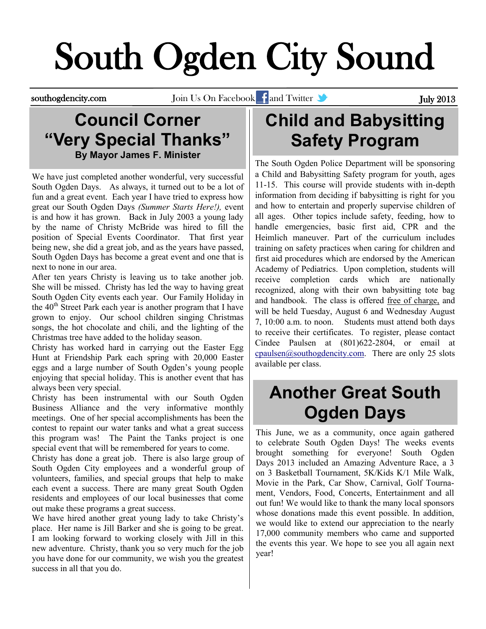# South Ogden City Sound

southogdencity.com Join Us On Facebook and Twitter and Twitter July 2013

## **Council Corner "Very Special Thanks" By Mayor James F. Minister**

We have just completed another wonderful, very successful South Ogden Days. As always, it turned out to be a lot of fun and a great event. Each year I have tried to express how great our South Ogden Days *(Summer Starts Here!),* event is and how it has grown. Back in July 2003 a young lady by the name of Christy McBride was hired to fill the position of Special Events Coordinator. That first year being new, she did a great job, and as the years have passed, South Ogden Days has become a great event and one that is next to none in our area.

After ten years Christy is leaving us to take another job. She will be missed. Christy has led the way to having great South Ogden City events each year. Our Family Holiday in the  $40<sup>th</sup>$  Street Park each year is another program that I have grown to enjoy. Our school children singing Christmas songs, the hot chocolate and chili, and the lighting of the Christmas tree have added to the holiday season.

Christy has worked hard in carrying out the Easter Egg Hunt at Friendship Park each spring with 20,000 Easter eggs and a large number of South Ogden's young people enjoying that special holiday. This is another event that has always been very special.

Christy has been instrumental with our South Ogden Business Alliance and the very informative monthly meetings. One of her special accomplishments has been the contest to repaint our water tanks and what a great success this program was! The Paint the Tanks project is one special event that will be remembered for years to come.

Christy has done a great job. There is also large group of South Ogden City employees and a wonderful group of volunteers, families, and special groups that help to make each event a success. There are many great South Ogden residents and employees of our local businesses that come out make these programs a great success.

We have hired another great young lady to take Christy's place. Her name is Jill Barker and she is going to be great. I am looking forward to working closely with Jill in this new adventure. Christy, thank you so very much for the job you have done for our community, we wish you the greatest success in all that you do.

## **Child and Babysitting Safety Program**

The South Ogden Police Department will be sponsoring a Child and Babysitting Safety program for youth, ages 11-15. This course will provide students with in-depth information from deciding if babysitting is right for you and how to entertain and properly supervise children of all ages. Other topics include safety, feeding, how to handle emergencies, basic first aid, CPR and the Heimlich maneuver. Part of the curriculum includes training on safety practices when caring for children and first aid procedures which are endorsed by the American Academy of Pediatrics. Upon completion, students will receive completion cards which are nationally recognized, along with their own babysitting tote bag and handbook. The class is offered free of charge, and will be held Tuesday, August 6 and Wednesday August 7, 10:00 a.m. to noon. Students must attend both days to receive their certificates. To register, please contact Cindee Paulsen at (801)622-2804, or email at [cpaulsen@southogdencity.com.](mailto:cpaulsen@southogdencity.com) There are only 25 slots available per class.

## **Another Great South Ogden Days**

This June, we as a community, once again gathered to celebrate South Ogden Days! The weeks events brought something for everyone! South Ogden Days 2013 included an Amazing Adventure Race, a 3 on 3 Basketball Tournament, 5K/Kids K/1 Mile Walk, Movie in the Park, Car Show, Carnival, Golf Tournament, Vendors, Food, Concerts, Entertainment and all out fun! We would like to thank the many local sponsors whose donations made this event possible. In addition, we would like to extend our appreciation to the nearly 17,000 community members who came and supported the events this year. We hope to see you all again next year!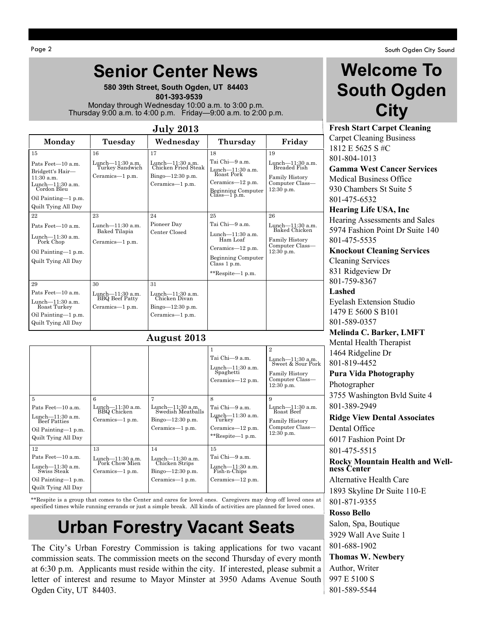Oil Painting—1 p.m. Quilt Tying All Day

13

Lunch—11:30 a.m. Pork Chow Mien Ceramics—1 p.m.

Pats Feet—10 a.m. Lunch—11:30 a.m. Swiss Steak Oil Painting—1 p.m. Quilt Tying All Day

12

## **Senior Center News**

**580 39th Street, South Ogden, UT 84403**  **801-393-9539** Monday through Wednesday 10:00 a.m. to 3:00 p.m. Thursday 9:00 a.m. to 4:00 p.m. Friday—9:00 a.m. to 2:00 p.m.

| <b>July 2013</b>                                                                                                                                                                                                                                     |                                                                                                                               |                                                                                                                            |                                                                                                                                                                                                                                    |                                                                                                                                                                                                           |  |  |  |
|------------------------------------------------------------------------------------------------------------------------------------------------------------------------------------------------------------------------------------------------------|-------------------------------------------------------------------------------------------------------------------------------|----------------------------------------------------------------------------------------------------------------------------|------------------------------------------------------------------------------------------------------------------------------------------------------------------------------------------------------------------------------------|-----------------------------------------------------------------------------------------------------------------------------------------------------------------------------------------------------------|--|--|--|
| Monday                                                                                                                                                                                                                                               | Tuesday                                                                                                                       | Wednesday                                                                                                                  | Thursday                                                                                                                                                                                                                           | Friday                                                                                                                                                                                                    |  |  |  |
| 15<br>Pats Feet-10 a.m.<br>Bridgett's Hair-<br>11:30 a.m.<br>Lunch-11:30 a.m.<br>Cordon Bleu<br>Oil Painting-1 p.m.<br>Quilt Tying All Day<br>22<br>Pats Feet-10 a.m.<br>Lunch-11:30 a.m.<br>Pork Chop<br>Oil Painting-1 p.m.<br>Quilt Tying All Day | 16<br>Lunch-11:30 a.m.<br>Turkey Sandwich<br>Ceramics-1 p.m.<br>23<br>Lunch $-11:30$ a.m.<br>Baked Tilapia<br>Ceramics—1 p.m. | 17<br>Lunch-11:30 a.m.<br>Chicken Fried Steak<br>Bingo-12:30 p.m.<br>Ceramics-1 p.m.<br>24<br>Pioneer Day<br>Center Closed | 18<br>Tai Chi—9 a.m.<br>Lunch—11:30 a.m.<br>Roast Pork<br>Ceramics-12 p.m.<br>Beginning Computer<br>Class—1 p.m.<br>25<br>Tai Chi—9 a.m.<br>Lunch-11:30 a.m.<br>Ham Loaf<br>Ceramics-12 p.m.<br>Beginning Computer<br>Class 1 p.m. | 19<br>Lunch—11:30 a.m.<br>Breaded Fish<br><b>Family History</b><br>Computer Class-<br>$12:30$ p.m.<br>26<br>Lunch-11:30 a.m.<br>Baked Chicken<br><b>Family History</b><br>Computer Class-<br>$12:30$ p.m. |  |  |  |
| 29<br>Pats Feet-10 a.m.<br>Lunch-11:30 a.m.<br>Roast Turkey<br>Oil Painting—1 p.m.<br>Quilt Tying All Day                                                                                                                                            | 30<br>Lunch-11:30 a.m.<br>BBQ Beef Patty<br>Ceramics-1 p.m.                                                                   | 31<br>Lunch—11:30 a.m.<br>Chicken Divan<br>Bingo-12:30 p.m.<br>Ceramics—1 p.m.                                             | **Respite-1 p.m.                                                                                                                                                                                                                   |                                                                                                                                                                                                           |  |  |  |
| 5                                                                                                                                                                                                                                                    | 6                                                                                                                             | August 2013<br>7                                                                                                           | 1<br>Tai Chi—9 a.m.<br>Lunch-11:30 a.m.<br>Spaghetti<br>Ceramics-12 p.m.<br>8                                                                                                                                                      | $\overline{2}$<br>Lunch-11:30 a.m.<br>Sweet & Sour Pork<br>Family History<br>Computer Class—<br>$12:30$ p.m.<br>9                                                                                         |  |  |  |
| Pats Feet-10 a.m.<br>Lunch-11:30 a.m.<br>Beef Patties<br>$Oil$ Painting— $1$ n m                                                                                                                                                                     | Lunch-11:30 a.m.<br>BBQ Chicken<br>Ceramics-1 p.m.                                                                            | Lunch—11:30 a.m.<br>Swedish Meatballs<br>Bingo-12:30 p.m.<br>Ceramics-1 p.m.                                               | Tai Chi—9 a.m.<br>Lunch-11:30 a.m.<br>Turkey<br>Ceramics-12 p.m.                                                                                                                                                                   | Lunch-11:30 a.m.<br>Roast Beef<br><b>Family History</b><br>Computer Class-                                                                                                                                |  |  |  |

**Welcome To South Ogden City**

**Fresh Start Carpet Cleaning** Carpet Cleaning Business 1812 E 5625 S #C 801-804-1013 **Gamma West Cancer Services** Medical Business Office 930 Chambers St Suite 5 801-475-6532 **Hearing Life USA, Inc** Hearing Assessments and Sales 5974 Fashion Point Dr Suite 140 801-475-5535 **Knockout Cleaning Services** Cleaning Services 831 Ridgeview Dr 801-759-8367

**Lashed** Eyelash Extension Studio 1479 E 5600 S B101 801-589-0357

**Melinda C. Barker, LMFT** Mental Health Therapist 1464 Ridgeline Dr 801-819-4452

**Pura Vida Photography** Photographer 3755 Washington Bvld Suite 4 801-389-2949

**Ridge View Dental Associates** Dental Office 6017 Fashion Point Dr 801-475-5515

**Rocky Mountain Health and Wellness Center** Alternative Health Care

1893 Skyline Dr Suite 110-E 801-871-9355

**Rosso Bello** Salon, Spa, Boutique 3929 Wall Ave Suite 1 801-688-1902

**Thomas W. Newbery** Author, Writer 997 E 5100 S 801-589-5544

## \*\*Respite is a group that comes to the Center and cares for loved ones. Caregivers may drop off loved ones at specified times while running errands or just a simple break. All kinds of activities are planned for loved ones.

Lunch—11:30 a.m. Chicken Strips Bingo—12:30 p.m. Ceramics—1 p.m.

14

\*\*Respite—1 p.m.

Tai Chi—9 a.m. Lunch—11:30 a.m. Fish-n-Chips Ceramics—12 p.m.

15

12:30 p.m.

## **Urban Forestry Vacant Seats**

The City's Urban Forestry Commission is taking applications for two vacant commission seats. The commission meets on the second Thursday of every month at 6:30 p.m. Applicants must reside within the city. If interested, please submit a letter of interest and resume to Mayor Minster at 3950 Adams Avenue South Ogden City, UT 84403.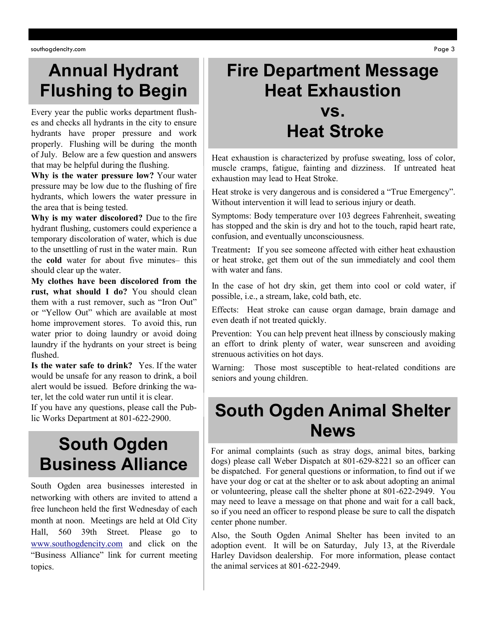## **Annual Hydrant Flushing to Begin**

Every year the public works department flushes and checks all hydrants in the city to ensure hydrants have proper pressure and work properly. Flushing will be during the month of July. Below are a few question and answers that may be helpful during the flushing.

**Why is the water pressure low?** Your water pressure may be low due to the flushing of fire hydrants, which lowers the water pressure in the area that is being tested.

**Why is my water discolored?** Due to the fire hydrant flushing, customers could experience a temporary discoloration of water, which is due to the unsettling of rust in the water main. Run the **cold** water for about five minutes– this should clear up the water.

**My clothes have been discolored from the rust, what should I do?** You should clean them with a rust remover, such as "Iron Out" or "Yellow Out" which are available at most home improvement stores. To avoid this, run water prior to doing laundry or avoid doing laundry if the hydrants on your street is being flushed.

**Is the water safe to drink?** Yes. If the water would be unsafe for any reason to drink, a boil alert would be issued. Before drinking the water, let the cold water run until it is clear.

If you have any questions, please call the Public Works Department at 801-622-2900.

## **South Ogden Business Alliance**

South Ogden area businesses interested in networking with others are invited to attend a free luncheon held the first Wednesday of each month at noon. Meetings are held at Old City Hall, 560 39th Street. Please go to [www.southogdencity.com](http://www.southogdencity.com/) and click on the "Business Alliance" link for current meeting topics.

## **Fire Department Message Heat Exhaustion vs.**

## **Heat Stroke**

Heat exhaustion is characterized by profuse sweating, loss of color, muscle cramps, fatigue, fainting and dizziness. If untreated heat exhaustion may lead to Heat Stroke.

Heat stroke is very dangerous and is considered a "True Emergency". Without intervention it will lead to serious injury or death.

Symptoms: Body temperature over 103 degrees Fahrenheit, sweating has stopped and the skin is dry and hot to the touch, rapid heart rate, confusion, and eventually unconsciousness.

Treatment**:** If you see someone affected with either heat exhaustion or heat stroke, get them out of the sun immediately and cool them with water and fans.

In the case of hot dry skin, get them into cool or cold water, if possible, i.e., a stream, lake, cold bath, etc.

Effects: Heat stroke can cause organ damage, brain damage and even death if not treated quickly.

Prevention: You can help prevent heat illness by consciously making an effort to drink plenty of water, wear sunscreen and avoiding strenuous activities on hot days.

Warning: Those most susceptible to heat-related conditions are seniors and young children.

## **South Ogden Animal Shelter News**

For animal complaints (such as stray dogs, animal bites, barking dogs) please call Weber Dispatch at 801-629-8221 so an officer can be dispatched. For general questions or information, to find out if we have your dog or cat at the shelter or to ask about adopting an animal or volunteering, please call the shelter phone at 801-622-2949. You may need to leave a message on that phone and wait for a call back, so if you need an officer to respond please be sure to call the dispatch center phone number.

Also, the South Ogden Animal Shelter has been invited to an adoption event. It will be on Saturday, July 13, at the Riverdale Harley Davidson dealership. For more information, please contact the animal services at 801-622-2949.